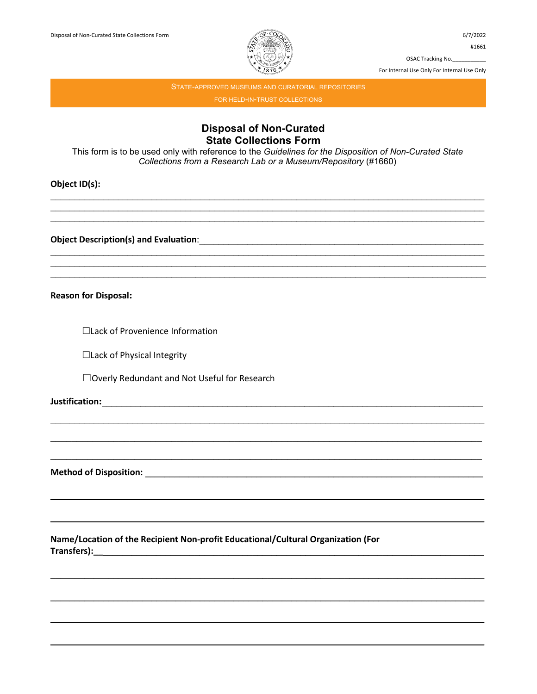

For Internal Use Only For Internal Use Only

STATE-APPROVED MUSEUMS AND CURATORIAL REPOSITORIES FOR HELD-IN-TRUST COLLECTIONS

## **Disposal of Non-Curated State Collections Form**

This form is to be used only with reference to the Guidelines for the Disposition of Non-Curated State Collections from a Research Lab or a Museum/Repository (#1660)

Object ID(s):

**Reason for Disposal:** 

□Lack of Provenience Information

□Lack of Physical Integrity

□ Overly Redundant and Not Useful for Research

Method of Disposition: Network and Security and Security and Security and Security and Security and Security and Security and Security and Security and Security and Security and Security and Security and Security and Secur

Name/Location of the Recipient Non-profit Educational/Cultural Organization (For